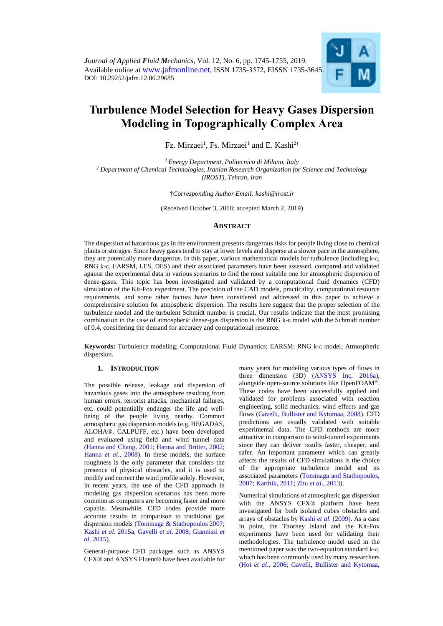

# **Turbulence Model Selection for Heavy Gases Dispersion Modeling in Topographically Complex Area**

Fz. Mirzaei<sup>1</sup>, Fs. Mirzaei<sup>1</sup> and E. Kashi<sup>2†</sup>

*<sup>1</sup> Energy Department, Politecnico di Milano, Italy 2 Department of Chemical Technologies, Iranian Research Organization for Science and Technology (IROST), Tehran, Iran* 

†*Corresponding Author Email[: kashi@irost.ir](mailto:kashi@irost.ir)*

(Received October 3, 2018; accepted March 2, 2019)

# **ABSTRACT**

The dispersion of hazardous gas in the environment presents dangerous risks for people living close to chemical plants or storages. Since heavy gases tend to stay at lower levels and disperse at a slower pace in the atmosphere, they are potentially more dangerous. In this paper, various mathematical models for turbulence (including k-ε, RNG k-ε, EARSM, LES, DES) and their associated parameters have been assessed, compared and validated against the experimental data in various scenarios to find the most suitable one for atmospheric dispersion of dense-gases. This topic has been investigated and validated by a computational fluid dynamics (CFD) simulation of the Kit-Fox experiment. The precision of the CAD models, practicality, computational resource requirements, and some other factors have been considered and addressed in this paper to achieve a comprehensive solution for atmospheric dispersion. The results here suggest that the proper selection of the turbulence model and the turbulent Schmidt number is crucial. Our results indicate that the most promising combination in the case of atmospheric dense-gas dispersion is the RNG k-ε model with the Schmidt number of 0.4, considering the demand for accuracy and computational resource.

**Keywords:** Turbulence modeling; Computational Fluid Dynamics; EARSM; RNG k-ε model; Atmospheric dispersion.

## **1. INTRODUCTION**

The possible release, leakage and dispersion of hazardous gases into the atmosphere resulting from human errors, terrorist attacks, mechanical failures, etc. could potentially endanger the life and wellbeing of the people living nearby. Common atmospheric gas dispersion models (e.g. HEGADAS, ALOHA®, CALPUFF, etc.) have been developed and evaluated using field and wind tunnel data (Hanna and Chang, 2001; Hanna and Britter, 2002; Hanna *et al*., 2008). In these models, the surface roughness is the only parameter that considers the presence of physical obstacles, and it is used to modify and correct the wind profile solely. However, in recent years, the use of the CFD approach in modeling gas dispersion scenarios has been more common as computers are becoming faster and more capable. Meanwhile, CFD codes provide more accurate results in comparison to traditional gas dispersion models (Tominaga & Stathopoulos 2007; Kashi *et al*. 2015a; Gavelli *et al*. 2008; Giannissi *et al*. 2015).

General-purpose CFD packages such as ANSYS CFX® and ANSYS Fluent® have been available for many years for modeling various types of flows in three dimension (3D) (ANSYS Inc, 2016a), alongside open-source solutions like OpenFOAM®. These codes have been successfully applied and validated for problems associated with reaction engineering, solid mechanics, wind effects and gas flows (Gavelli, Bullister and Kytomaa, 2008). CFD predictions are usually validated with suitable experimental data. The CFD methods are more attractive in comparison to wind-tunnel experiments since they can deliver results faster, cheaper, and safer. An important parameter which can greatly affects the results of CFD simulations is the choice of the appropriate turbulence model and its associated parameters (Tominaga and Stathopoulos, 2007; Karthik, 2011; Zhu *et al*., 2013).

Numerical simulations of atmospheric gas dispersion with the ANSYS CFX® platform have been investigated for both isolated cubes obstacles and arrays of obstacles by Kashi *et al*. (2009). As a case in point, the Thorney Island and the Kit-Fox experiments have been used for validating their methodologies. The turbulence model used in the mentioned paper was the two-equation standard k-ε, which has been commonly used by many researchers (Hoi *et al*., 2006; Gavelli, Bullister and Kytomaa,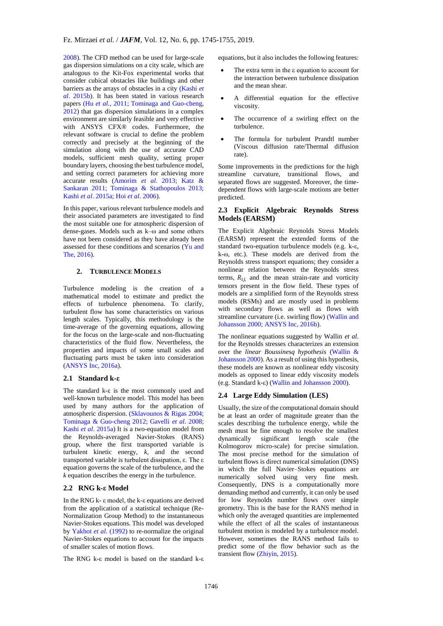2008). The CFD method can be used for large-scale gas dispersion simulations on a city scale, which are analogous to the Kit-Fox experimental works that consider cubical obstacles like buildings and other barriers as the arrays of obstacles in a city (Kashi *et al*. 2015b). It has been stated in various research papers (Hu *et al.*, 2011; Tominaga and Guo-cheng, 2012) that gas dispersion simulations in a complex environment are similarly feasible and very effective with ANSYS CFX® codes. Furthermore, the relevant software is crucial to define the problem correctly and precisely at the beginning of the simulation along with the use of accurate CAD models, sufficient mesh quality, setting proper boundary layers, choosing the best turbulence model, and setting correct parameters for achieving more accurate results (Amorim *et al*. 2013; Katz & Sankaran 2011; Tominaga & Stathopoulos 2013; Kashi *et al*. 2015a; Hoi *et al*. 2006).

In this paper, various relevant turbulence models and their associated parameters are investigated to find the most suitable one for atmospheric dispersion of dense-gases. Models such as k–ω and some others have not been considered as they have already been assessed for these conditions and scenarios (Yu and The, 2016).

# **2. TURBULENCE MODELS**

Turbulence modeling is the creation of a mathematical model to estimate and predict the effects of turbulence phenomena. To clarify, turbulent flow has some characteristics on various length scales. Typically, this methodology is the time-average of the governing equations, allowing for the focus on the large-scale and non-fluctuating characteristics of the fluid flow. Nevertheless, the properties and impacts of some small scales and fluctuating parts must be taken into consideration (ANSYS Inc, 2016a).

## **2.1 Standard k-ε**

The standard k-ε is the most commonly used and well-known turbulence model. This model has been used by many authors for the application of atmospheric dispersion. (Sklavounos & Rigas 2004; Tominaga & Guo-cheng 2012; Gavelli *et al*. 2008; Kashi *et al*. 2015a) It is a two-equation model from the Reynolds-averaged Navier-Stokes (RANS) group, where the first transported variable is turbulent kinetic energy, *k,* and the second transported variable is turbulent dissipation, ε. The ε equation governs the scale of the turbulence, and the *k* equation describes the energy in the turbulence.

## **2.2 RNG k-ε Model**

In the RNG k- ε model, the k-ε equations are derived from the application of a statistical technique (Re-Normalization Group Method) to the instantaneous Navier-Stokes equations. This model was developed by Yakhot *et al*. (1992) to re-normalize the original Navier-Stokes equations to account for the impacts of smaller scales of motion flows.

The RNG k-ε model is based on the standard k-ε

equations, but it also includes the following features:

- The extra term in the ε equation to account for the interaction between turbulence dissipation and the mean shear.
- A differential equation for the effective viscosity.
- The occurrence of a swirling effect on the turbulence.
- The formula for turbulent Prandtl number (Viscous diffusion rate/Thermal diffusion rate).

Some improvements in the predictions for the high streamline curvature, transitional flows, and separated flows are suggested. Moreover, the timedependent flows with large-scale motions are better predicted.

## **2.3 Explicit Algebraic Reynolds Stress Models (EARSM)**

The Explicit Algebraic Reynolds Stress Models (EARSM) represent the extended forms of the standard two-equation turbulence models (e.g. k-ε, k-ω, etc.). These models are derived from the Reynolds stress transport equations; they consider a nonlinear relation between the Reynolds stress terms,  $R_{ij}$  and the mean strain-rate and vorticity tensors present in the flow field. These types of models are a simplified form of the Reynolds stress models (RSMs) and are mostly used in problems with secondary flows as well as flows with streamline curvature (i.e. swirling flow) (Wallin and Johansson 2000; ANSYS Inc, 2016b).

The nonlinear equations suggested by Wallin *et al*. for the Reynolds stresses characterizes an extension over the *linear Boussinesq hypothesis* (Wallin & Johansson 2000). As a result of using this hypothesis, these models are known as nonlinear eddy viscosity models as opposed to linear eddy viscosity models (e.g. Standard k-ε) (Wallin and Johansson 2000).

#### **2.4 Large Eddy Simulation (LES)**

Usually, the size of the computational domain should be at least an order of magnitude greater than the scales describing the turbulence energy, while the mesh must be fine enough to resolve the smallest dynamically significant length scale (the Kolmogorov micro-scale) for precise simulation. The most precise method for the simulation of turbulent flows is direct numerical simulation (DNS) in which the full Navier–Stokes equations are numerically solved using very fine mesh. Consequently, DNS is a computationally more demanding method and currently, it can only be used for low Reynolds number flows over simple geometry. This is the base for the RANS method in which only the averaged quantities are implemented while the effect of all the scales of instantaneous turbulent motion is modeled by a turbulence model. However, sometimes the RANS method fails to predict some of the flow behavior such as the transient flow (Zhiyin, 2015).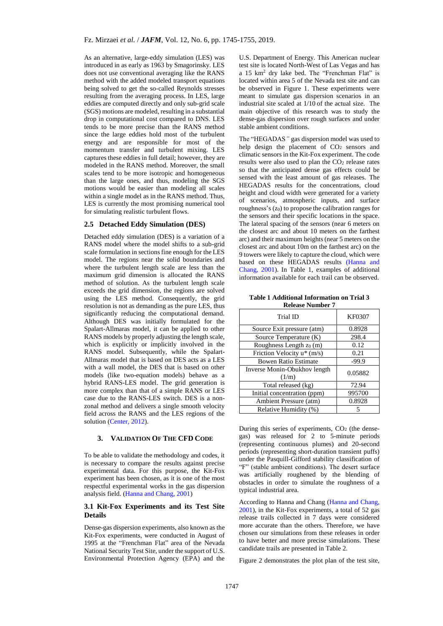As an alternative, large-eddy simulation (LES) was introduced in as early as 1963 by Smagorinsky. LES does not use conventional averaging like the RANS method with the added modeled transport equations being solved to get the so-called Reynolds stresses resulting from the averaging process. In LES, large eddies are computed directly and only sub-grid scale (SGS) motions are modeled, resulting in a substantial drop in computational cost compared to DNS. LES tends to be more precise than the RANS method since the large eddies hold most of the turbulent energy and are responsible for most of the momentum transfer and turbulent mixing. LES captures these eddies in full detail; however, they are modeled in the RANS method. Moreover, the small scales tend to be more isotropic and homogeneous than the large ones, and thus, modeling the SGS motions would be easier than modeling all scales within a single model as in the RANS method. Thus, LES is currently the most promising numerical tool for simulating realistic turbulent flows.

## **2.5 Detached Eddy Simulation (DES)**

Detached eddy simulation (DES) is a variation of a RANS model where the model shifts to a sub-grid scale formulation in sections fine enough for the LES model. The regions near the solid boundaries and where the turbulent length scale are less than the maximum grid dimension is allocated the RANS method of solution. As the turbulent length scale exceeds the grid dimension, the regions are solved using the LES method. Consequently, the grid resolution is not as demanding as the pure LES, thus significantly reducing the computational demand. Although DES was initially formulated for the Spalart-Allmaras model, it can be applied to other RANS models by properly adjusting the length scale, which is explicitly or implicitly involved in the RANS model. Subsequently, while the Spalart-Allmaras model that is based on DES acts as a LES with a wall model, the DES that is based on other models (like two-equation models) behave as a hybrid RANS-LES model. The grid generation is more complex than that of a simple RANS or LES case due to the RANS-LES switch. DES is a nonzonal method and delivers a single smooth velocity field across the RANS and the LES regions of the solution (Center, 2012).

## **3. VALIDATION OF THE CFD CODE**

To be able to validate the methodology and codes, it is necessary to compare the results against precise experimental data. For this purpose, the Kit-Fox experiment has been chosen, as it is one of the most respectful experimental works in the gas dispersion analysis field. (Hanna and Chang, 2001)

## **3.1 Kit-Fox Experiments and its Test Site Details**

Dense-gas dispersion experiments, also known as the Kit-Fox experiments, were conducted in August of 1995 at the "Frenchman Flat" area of the Nevada National Security Test Site, under the support of U.S. Environmental Protection Agency (EPA) and the

U.S. Department of Energy. This American nuclear test site is located North-West of Las Vegas and has a 15 km<sup>2</sup> dry lake bed. The "Frenchman Flat" is located within area 5 of the Nevada test site and can be observed in Figure 1. These experiments were meant to simulate gas dispersion scenarios in an industrial site scaled at 1/10 of the actual size. The main objective of this research was to study the dense-gas dispersion over rough surfaces and under stable ambient conditions.

The "HEGADAS*"* gas dispersion model was used to help design the placement of CO<sub>2</sub> sensors and climatic sensors in the Kit-Fox experiment. The code results were also used to plan the CO<sub>2</sub> release rates so that the anticipated dense gas effects could be sensed with the least amount of gas releases. The HEGADAS results for the concentrations, cloud height and cloud width were generated for a variety of scenarios, atmospheric inputs, and surface roughness's  $(z_0)$  to propose the calibration ranges for the sensors and their specific locations in the space. The lateral spacing of the sensors (near 6 meters on the closest arc and about 10 meters on the farthest arc) and their maximum heights (near 5 meters on the closest arc and about 10m on the farthest arc) on the 9 towers were likely to capture the cloud, which were based on these HEGADAS results (Hanna and Chang, 2001). In Table 1, examples of additional information available for each trail can be observed.

**Table 1 Additional Information on Trial 3 Release Number 7**

| Trial ID                              | <b>KF0307</b> |
|---------------------------------------|---------------|
| Source Exit pressure (atm)            | 0.8928        |
| Source Temperature (K)                | 298.4         |
| Roughness Length z <sub>0</sub> (m)   | 0.12          |
| Friction Velocity u* (m/s)            | 0.21          |
| <b>Bowen Ratio Estimate</b>           | $-99.9$       |
| Inverse Monin-Obukhov length<br>(1/m) | 0.05882       |
| Total released (kg)                   | 72.94         |
| Initial concentration (ppm)           | 995700        |
| Ambient Pressure (atm)                | 0.8928        |
| Relative Humidity (%)                 |               |

During this series of experiments,  $CO<sub>2</sub>$  (the densegas) was released for 2 to 5-minute periods (representing continuous plumes) and 20-second periods (representing short-duration transient puffs) under the Pasquill-Gifford stability classification of "F" (stable ambient conditions). The desert surface was artificially roughened by the blending of obstacles in order to simulate the roughness of a typical industrial area.

According to Hanna and Chang (Hanna and Chang, 2001), in the Kit-Fox experiments, a total of 52 gas release trails collected in 7 days were considered more accurate than the others. Therefore, we have chosen our simulations from these releases in order to have better and more precise simulations. These candidate trails are presented in Table 2.

Figure 2 demonstrates the plot plan of the test site,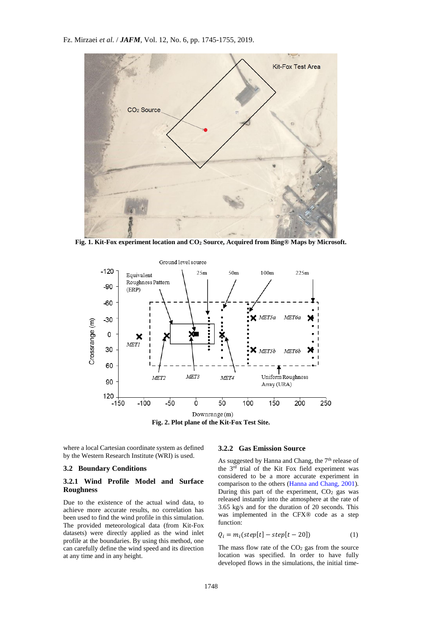Fz. Mirzaei *et al.* / *JAFM*, Vol. 12, No. 6, pp. 1745-1755, 2019.



**Fig. 1. Kit-Fox experiment location and CO<sup>2</sup> Source, Acquired from Bing® Maps by Microsoft.**



**Fig. 2. Plot plane of the Kit-Fox Test Site.**

where a local Cartesian coordinate system as defined by the Western Research Institute (WRI) is used.

## **3.2 Boundary Conditions**

## **3.2.1 Wind Profile Model and Surface Roughness**

Due to the existence of the actual wind data, to achieve more accurate results, no correlation has been used to find the wind profile in this simulation. The provided meteorological data (from Kit-Fox datasets) were directly applied as the wind inlet profile at the boundaries. By using this method, one can carefully define the wind speed and its direction at any time and in any height.

#### **3.2.2 Gas Emission Source**

As suggested by Hanna and Chang, the 7<sup>th</sup> release of the 3rd trial of the Kit Fox field experiment was considered to be a more accurate experiment in comparison to the others (Hanna and Chang, 2001). During this part of the experiment, CO<sub>2</sub> gas was released instantly into the atmosphere at the rate of 3.65 kg/s and for the duration of 20 seconds. This was implemented in the CFX® code as a step function:

$$
Q_i = m_i(\text{step}[t] - \text{step}[t - 20]) \tag{1}
$$

The mass flow rate of the  $CO<sub>2</sub>$  gas from the source location was specified. In order to have fully developed flows in the simulations, the initial time-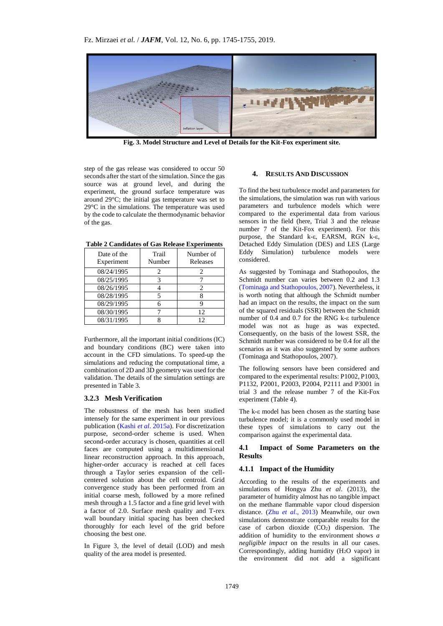

**Fig. 3. Model Structure and Level of Details for the Kit-Fox experiment site.**

step of the gas release was considered to occur 50 seconds after the start of the simulation. Since the gas source was at ground level, and during the experiment, the ground surface temperature was around 29°C; the initial gas temperature was set to 29°C in the simulations. The temperature was used by the code to calculate the thermodynamic behavior of the gas.

| Date of the<br>Experiment | Trail<br>Number | Number of<br>Releases |
|---------------------------|-----------------|-----------------------|
| 08/24/1995                | 2               |                       |
| 08/25/1995                |                 |                       |
| 08/26/1995                |                 | 2                     |
| 08/28/1995                |                 |                       |
| 08/29/1995                |                 |                       |
| 08/30/1995                |                 | 12                    |
| 08/31/1995                |                 | 12                    |

**Table 2 Candidates of Gas Release Experiments**

Furthermore, all the important initial conditions (IC) and boundary conditions (BC) were taken into account in the CFD simulations. To speed-up the simulations and reducing the computational time, a combination of 2D and 3D geometry was used for the validation. The details of the simulation settings are presented in Table 3.

#### **3.2.3 Mesh Verification**

The robustness of the mesh has been studied intensely for the same experiment in our previous publication (Kashi *et al*. 2015a). For discretization purpose, second-order scheme is used. When second-order accuracy is chosen, quantities at cell faces are computed using a multidimensional linear reconstruction approach. In this approach, higher-order accuracy is reached at cell faces through a Taylor series expansion of the cellcentered solution about the cell centroid. Grid convergence study has been performed from an initial coarse mesh, followed by a more refined mesh through a 1.5 factor and a fine grid level with a factor of 2.0. Surface mesh quality and T-rex wall boundary initial spacing has been checked thoroughly for each level of the grid before choosing the best one.

In Figure 3, the level of detail (LOD) and mesh quality of the area model is presented.

#### **4. RESULTS AND DISCUSSION**

To find the best turbulence model and parameters for the simulations, the simulation was run with various parameters and turbulence models which were compared to the experimental data from various sensors in the field (here, Trial 3 and the release number 7 of the Kit-Fox experiment). For this purpose, the Standard k-ε, EARSM, RGN k-ε, Detached Eddy Simulation (DES) and LES (Large Eddy Simulation) turbulence models were considered.

As suggested by Tominaga and Stathopoulos, the Schmidt number can varies between 0.2 and 1.3 (Tominaga and Stathopoulos, 2007). Nevertheless, it is worth noting that although the Schmidt number had an impact on the results, the impact on the sum of the squared residuals (SSR) between the Schmidt number of 0.4 and 0.7 for the RNG k-ε turbulence model was not as huge as was expected. Consequently, on the basis of the lowest SSR, the Schmidt number was considered to be 0.4 for all the scenarios as it was also suggested by some authors (Tominaga and Stathopoulos, 2007).

The following sensors have been considered and compared to the experimental results: P1002, P1003, P1132, P2001, P2003, P2004, P2111 and P3001 in trial 3 and the release number 7 of the Kit-Fox experiment (Table 4).

The k-ε model has been chosen as the starting base turbulence model; it is a commonly used model in these types of simulations to carry out the comparison against the experimental data.

# **4.1 Impact of Some Parameters on the Results**

#### **4.1.1 Impact of the Humidity**

According to the results of the experiments and simulations of Hongya Zhu *et al*. (2013), the parameter of humidity almost has no tangible impact on the methane flammable vapor cloud dispersion distance. (Zhu *et al*., 2013) Meanwhile, our own simulations demonstrate comparable results for the case of carbon dioxide  $(CO<sub>2</sub>)$  dispersion. The addition of humidity to the environment shows *a negligible impact* on the results in all our cases. Correspondingly, adding humidity (H2O vapor) in the environment did not add a significant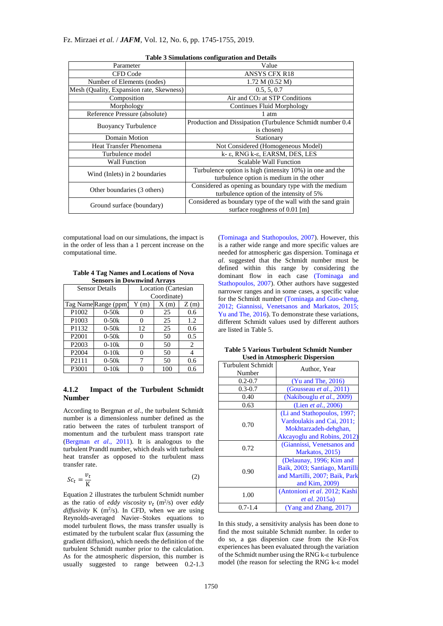| raoic o omnaiations connigui ation and Detans |                                                             |  |  |  |
|-----------------------------------------------|-------------------------------------------------------------|--|--|--|
| Parameter                                     | Value                                                       |  |  |  |
| CFD Code                                      | <b>ANSYS CFX R18</b>                                        |  |  |  |
| Number of Elements (nodes)                    | 1.72 M (0.52 M)                                             |  |  |  |
| Mesh (Quality, Expansion rate, Skewness)      | 0.5, 5, 0.7                                                 |  |  |  |
| Composition                                   | Air and $CO2$ at STP Conditions                             |  |  |  |
| Morphology                                    | <b>Continues Fluid Morphology</b>                           |  |  |  |
| Reference Pressure (absolute)                 | 1 atm                                                       |  |  |  |
| <b>Buoyancy Turbulence</b>                    | Production and Dissipation (Turbulence Schmidt number 0.4)  |  |  |  |
|                                               | is chosen)                                                  |  |  |  |
| Domain Motion                                 | Stationary                                                  |  |  |  |
| <b>Heat Transfer Phenomena</b>                | Not Considered (Homogeneous Model)                          |  |  |  |
| Turbulence model                              | k-ε, RNG k-ε, EARSM, DES, LES                               |  |  |  |
| <b>Wall Function</b>                          | Scalable Wall Function                                      |  |  |  |
| Wind (Inlets) in 2 boundaries                 | Turbulence option is high (intensity 10%) in one and the    |  |  |  |
|                                               | turbulence option is medium in the other                    |  |  |  |
| Other boundaries (3 others)                   | Considered as opening as boundary type with the medium      |  |  |  |
|                                               | turbulence option of the intensity of 5%                    |  |  |  |
| Ground surface (boundary)                     | Considered as boundary type of the wall with the sand grain |  |  |  |
|                                               | surface roughness of $0.01$ [m]                             |  |  |  |

**Table 3 Simulations configuration and Details**

computational load on our simulations, the impact is in the order of less than a 1 percent increase on the computational time.

| <b>Table 4 Tag Names and Locations of Nova</b> |
|------------------------------------------------|
| <b>Sensors in Downwind Arrays</b>              |

| <b>Sensor Details</b> |           | Location (Cartesian |      |      |  |
|-----------------------|-----------|---------------------|------|------|--|
|                       |           | Coordinate)         |      |      |  |
| Tag Name Range (ppm)  |           | Y(m)                | X(m) | Z(m) |  |
| P1002                 | $0 - 50k$ |                     | 25   | 0.6  |  |
| P1003                 | $0 - 50k$ |                     | 25   | 1.2  |  |
| P1132                 | $0 - 50k$ | 12                  | 25   | 0.6  |  |
| P <sub>2001</sub>     | $0 - 50k$ | 0                   | 50   | 0.5  |  |
| P <sub>2003</sub>     | $0-10k$   | 0                   | 50   | 2    |  |
| P <sub>2004</sub>     | $0-10k$   | 0                   | 50   |      |  |
| P2111                 | $0 - 50k$ | 7                   | 50   | 0.6  |  |
| P3001                 | $0-10k$   | N                   | 100  | 0.6  |  |

# **4.1.2 Impact of the Turbulent Schmidt Number**

According to Bergman *et al*., the turbulent Schmidt number is a dimensionless number defined as the ratio between the rates of turbulent transport of momentum and the turbulent mass transport rate (Bergman *et al*., 2011). It is analogous to the turbulent Prandtl number, which deals with turbulent heat transfer as opposed to the turbulent mass transfer rate.

$$
Sc_t = \frac{v_t}{K}
$$
 (2)

Equation 2 illustrates the turbulent Schmidt number as the ratio of *eddy viscosity*  $v_t$  (m<sup>2</sup>/s) over *eddy*  $diffusivity$  K (m<sup>2</sup>/s). In CFD, when we are using Reynolds-averaged Navier–Stokes equations to model turbulent flows, the mass transfer usually is estimated by the turbulent scalar flux (assuming the gradient diffusion), which needs the definition of the turbulent Schmidt number prior to the calculation. As for the atmospheric dispersion, this number is usually suggested to range between 0.2-1.3

(Tominaga and Stathopoulos, 2007). However, this is a rather wide range and more specific values are needed for atmospheric gas dispersion. Tominaga *et al*. suggested that the Schmidt number must be defined within this range by considering the dominant flow in each case (Tominaga and Stathopoulos, 2007). Other authors have suggested narrower ranges and in some cases, a specific value for the Schmidt number (Tominaga and Guo-cheng, 2012; Giannissi, Venetsanos and Markatos, 2015; Yu and The, 2016). To demonstrate these variations, different Schmidt values used by different authors are listed in Table 5.

| евси ні жинозристіс ілярствіон     |                                                                                                                   |  |  |
|------------------------------------|-------------------------------------------------------------------------------------------------------------------|--|--|
| <b>Turbulent Schmidt</b><br>Number | Author, Year                                                                                                      |  |  |
| $0.2 - 0.7$                        | $(Yu$ and The, 2016)                                                                                              |  |  |
| $0.3 - 0.7$                        | (Gousseau <i>et al.</i> , 2011)                                                                                   |  |  |
| 0.40                               | (Nakibouglu et al., 2009)                                                                                         |  |  |
| 0.63                               | (Lien <i>et al.</i> , 2006)                                                                                       |  |  |
| 0.70                               | (Li and Stathopoulos, 1997;<br>Vardoulakis and Cai, 2011;<br>Mokhtarzadeh-dehghan,<br>Akcayoglu and Robins, 2012) |  |  |
| 0.72                               | (Giannissi, Venetsanos and<br>Markatos, 2015)                                                                     |  |  |
| 0.90                               | (Delaunay, 1996; Kim and<br>Baik, 2003; Santiago, Martilli<br>and Martilli, 2007; Baik, Park<br>and Kim, 2009)    |  |  |
| 1.00                               | (Antonioni et al. 2012; Kashi<br><i>et al.</i> 2015a)                                                             |  |  |
| $0.7 - 1.4$                        | (Yang and Zhang, 2017)                                                                                            |  |  |

**Table 5 Various Turbulent Schmidt Number Used in Atmospheric Dispersion**

In this study, a sensitivity analysis has been done to find the most suitable Schmidt number. In order to do so, a gas dispersion case from the Kit-Fox experiences has been evaluated through the variation of the Schmidt number using the RNG k-ε turbulence model (the reason for selecting the RNG k-ε model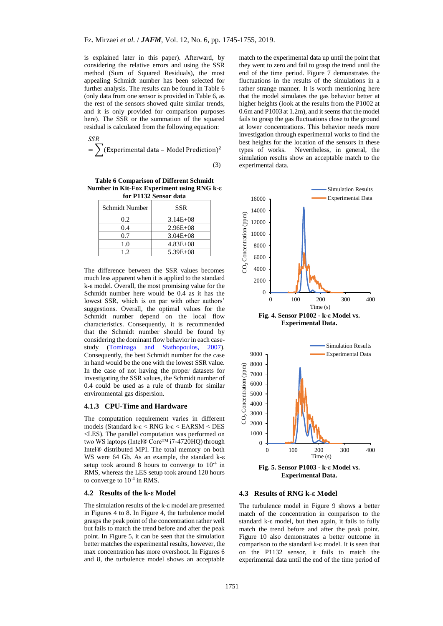is explained later in this paper). Afterward, by considering the relative errors and using the SSR method (Sum of Squared Residuals), the most appealing Schmidt number has been selected for further analysis. The results can be found in Table 6 (only data from one sensor is provided in Table 6, as the rest of the sensors showed quite similar trends, and it is only provided for comparison purposes here). The SSR or the summation of the squared residual is calculated from the following equation:

$$
= \sum_{i=1}^{SSR} (Experimental data - Model Prediction)^2
$$

 $\overline{a}$ 

(3)

**Table 6 Comparison of Different Schmidt Number in Kit-Fox Experiment using RNG k-ε for P1132 Sensor data**

| Schmidt Number | SSR          |
|----------------|--------------|
| 0.2            | $3.14E + 08$ |
| 0.4            | $2.96E + 08$ |
| 0.7            | $3.04E + 08$ |
| 1.0            | $4.83E + 08$ |
| 12             | $5.39E + 08$ |

The difference between the SSR values becomes much less apparent when it is applied to the standard k-ε model. Overall, the most promising value for the Schmidt number here would be 0.4 as it has the lowest SSR, which is on par with other authors' suggestions. Overall, the optimal values for the Schmidt number depend on the local flow characteristics. Consequently, it is recommended that the Schmidt number should be found by considering the dominant flow behavior in each casestudy (Tominaga and Stathopoulos, 2007). Consequently, the best Schmidt number for the case in hand would be the one with the lowest SSR value. In the case of not having the proper datasets for investigating the SSR values, the Schmidt number of 0.4 could be used as a rule of thumb for similar environmental gas dispersion.

#### **4.1.3 CPU-Time and Hardware**

The computation requirement varies in different models (Standard k-ε < RNG k-ε < EARSM < DES <LES). The parallel computation was performed on two WS laptops (Intel® Core™ i7-4720HQ) through Intel® distributed MPI. The total memory on both WS were 64 Gb. As an example, the standard k-ε setup took around 8 hours to converge to  $10^{-4}$  in RMS, whereas the LES setup took around 120 hours to converge to 10-4 in RMS.

#### **4.2 Results of the k-ε Model**

The simulation results of the k-ε model are presented in Figures 4 to 8. In Figure 4, the turbulence model grasps the peak point of the concentration rather well but fails to match the trend before and after the peak point. In Figure 5, it can be seen that the simulation better matches the experimental results, however, the max concentration has more overshoot. In Figures 6 and 8, the turbulence model shows an acceptable

match to the experimental data up until the point that they went to zero and fail to grasp the trend until the end of the time period. Figure 7 demonstrates the fluctuations in the results of the simulations in a rather strange manner. It is worth mentioning here that the model simulates the gas behavior better at higher heights (look at the results from the P1002 at 0.6m and P1003 at 1.2m), and it seems that the model fails to grasp the gas fluctuations close to the ground at lower concentrations. This behavior needs more investigation through experimental works to find the best heights for the location of the sensors in these types of works. Nevertheless, in general, the simulation results show an acceptable match to the experimental data.





**Fig. 5. Sensor P1003 - k-ε Model vs. Experimental Data.**

## **4.3 Results of RNG k-ε Model**

The turbulence model in Figure 9 shows a better match of the concentration in comparison to the standard k-ε model, but then again, it fails to fully match the trend before and after the peak point. Figure 10 also demonstrates a better outcome in comparison to the standard k-ε model. It is seen that on the P1132 sensor, it fails to match the experimental data until the end of the time period of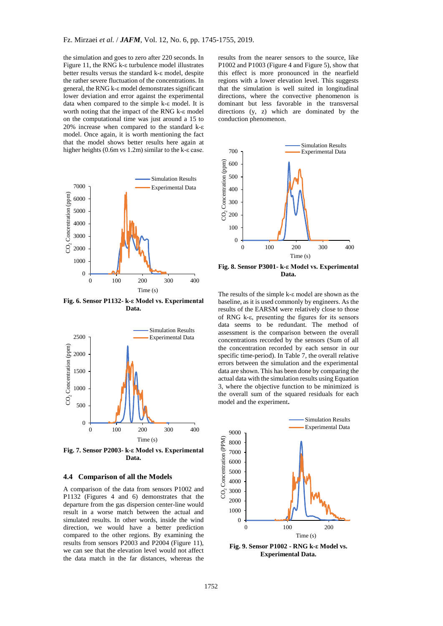the simulation and goes to zero after 220 seconds. In Figure 11, the RNG k-ε turbulence model illustrates better results versus the standard k-ε model, despite the rather severe fluctuation of the concentrations. In general, the RNG k-ε model demonstrates significant lower deviation and error against the experimental data when compared to the simple k-ε model. It is worth noting that the impact of the RNG k-ε model on the computational time was just around a 15 to 20% increase when compared to the standard k-ε model. Once again, it is worth mentioning the fact that the model shows better results here again at higher heights (0.6m vs 1.2m) similar to the k-ε case.



**Fig. 6. Sensor P1132- k-ε Model vs. Experimental Data.**



**Fig. 7. Sensor P2003- k-ε Model vs. Experimental Data.**

#### **4.4 Comparison of all the Models**

A comparison of the data from sensors P1002 and P1132 (Figures 4 and 6) demonstrates that the departure from the gas dispersion center-line would result in a worse match between the actual and simulated results. In other words, inside the wind direction, we would have a better prediction compared to the other regions. By examining the results from sensors P2003 and P2004 (Figure 11), we can see that the elevation level would not affect the data match in the far distances, whereas the

results from the nearer sensors to the source, like P1002 and P1003 (Figure 4 and Figure 5), show that this effect is more pronounced in the nearfield regions with a lower elevation level. This suggests that the simulation is well suited in longitudinal directions, where the convective phenomenon is dominant but less favorable in the transversal directions (y, z) which are dominated by the conduction phenomenon.



**Fig. 8. Sensor P3001- k-ε Model vs. Experimental Data.**

The results of the simple k-ε model are shown as the baseline, as it is used commonly by engineers. As the results of the EARSM were relatively close to those of RNG k-ε, presenting the figures for its sensors data seems to be redundant. The method of assessment is the comparison between the overall concentrations recorded by the sensors (Sum of all the concentration recorded by each sensor in our specific time-period). In Table 7, the overall relative errors between the simulation and the experimental data are shown. This has been done by comparing the actual data with the simulation results using Equation 3, where the objective function to be minimized is the overall sum of the squared residuals for each model and the experiment**.**



**Fig. 9. Sensor P1002 - RNG k-ε Model vs. Experimental Data.**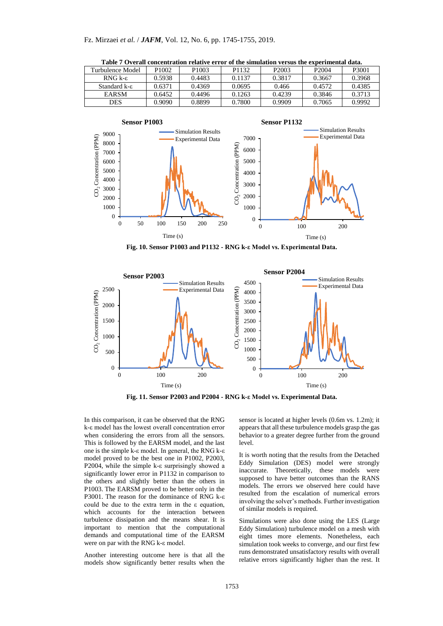| Turbulence Model        | P <sub>1002</sub> | P <sub>1003</sub> | P <sub>1132</sub> | P <sub>2003</sub> | P <sub>2004</sub> | P3001  |
|-------------------------|-------------------|-------------------|-------------------|-------------------|-------------------|--------|
| RNG $k$ - $\varepsilon$ | 0.5938            | 0.4483            | 0.1137            | 0.3817            | 0.3667            | 0.3968 |
| Standard k-ε            | 0.6371            | 0.4369            | 0.0695            | 0.466             | 0.4572            | 0.4385 |
| <b>EARSM</b>            | 0.6452            | 0.4496            | 0.1263            | 0.4239            | 0.3846            | 0.3713 |
| <b>DES</b>              | 0.9090            | 0.8899            | 0.7800            | 0.9909            | 0.7065            | 0.9992 |

**Table 7 Overall concentration relative error of the simulation versus the experimental data.**



**Fig. 10. Sensor P1003 and P1132 - RNG k-ε Model vs. Experimental Data.**



**Fig. 11. Sensor P2003 and P2004 - RNG k-ε Model vs. Experimental Data.**

In this comparison, it can be observed that the RNG k-ε model has the lowest overall concentration error when considering the errors from all the sensors. This is followed by the EARSM model, and the last one is the simple k-ε model. In general, the RNG k-ε model proved to be the best one in P1002, P2003, P2004, while the simple k-ε surprisingly showed a significantly lower error in P1132 in comparison to the others and slightly better than the others in P1003. The EARSM proved to be better only in the P3001. The reason for the dominance of RNG k-ε could be due to the extra term in the ε equation, which accounts for the interaction between turbulence dissipation and the means shear. It is important to mention that the computational demands and computational time of the EARSM were on par with the RNG k-ε model.

Another interesting outcome here is that all the models show significantly better results when the

sensor is located at higher levels (0.6m vs. 1.2m); it appears that all these turbulence models grasp the gas behavior to a greater degree further from the ground level.

It is worth noting that the results from the Detached Eddy Simulation (DES) model were strongly inaccurate. Theoretically, these models were supposed to have better outcomes than the RANS models. The errors we observed here could have resulted from the escalation of numerical errors involving the solver's methods. Further investigation of similar models is required.

Simulations were also done using the LES (Large Eddy Simulation) turbulence model on a mesh with eight times more elements. Nonetheless, each simulation took weeks to converge, and our first few runs demonstrated unsatisfactory results with overall relative errors significantly higher than the rest. It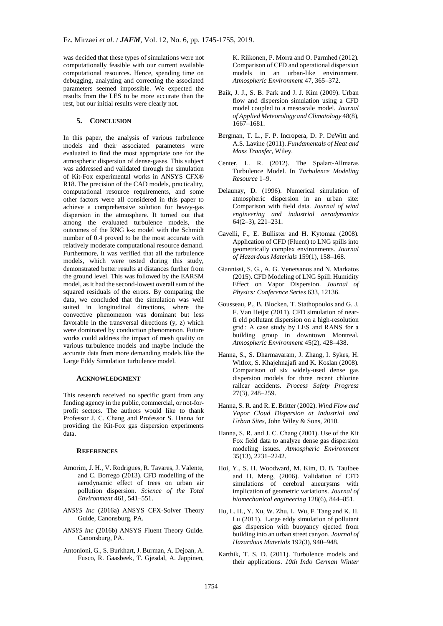was decided that these types of simulations were not computationally feasible with our current available computational resources. Hence, spending time on debugging, analyzing and correcting the associated parameters seemed impossible. We expected the results from the LES to be more accurate than the rest, but our initial results were clearly not.

## **5. CONCLUSION**

In this paper, the analysis of various turbulence models and their associated parameters were evaluated to find the most appropriate one for the atmospheric dispersion of dense-gases. This subject was addressed and validated through the simulation of Kit-Fox experimental works in ANSYS CFX® R18. The precision of the CAD models, practicality, computational resource requirements, and some other factors were all considered in this paper to achieve a comprehensive solution for heavy-gas dispersion in the atmosphere. It turned out that among the evaluated turbulence models, the outcomes of the RNG k-ε model with the Schmidt number of 0.4 proved to be the most accurate with relatively moderate computational resource demand. Furthermore, it was verified that all the turbulence models, which were tested during this study, demonstrated better results at distances further from the ground level. This was followed by the EARSM model, as it had the second-lowest overall sum of the squared residuals of the errors. By comparing the data, we concluded that the simulation was well suited in longitudinal directions, where the convective phenomenon was dominant but less favorable in the transversal directions (y, z) which were dominated by conduction phenomenon. Future works could address the impact of mesh quality on various turbulence models and maybe include the accurate data from more demanding models like the Large Eddy Simulation turbulence model.

## **ACKNOWLEDGMENT**

This research received no specific grant from any funding agency in the public, commercial, or not-forprofit sectors. The authors would like to thank Professor J. C. Chang and Professor S. Hanna for providing the Kit-Fox gas dispersion experiments data.

## **REFERENCES**

- Amorim, J. H., V. Rodrigues, R. Tavares, J. Valente, and C. Borrego (2013). CFD modelling of the aerodynamic effect of trees on urban air pollution dispersion. *Science of the Total Environment* 461, 541–551.
- *ANSYS Inc* (2016a) ANSYS CFX-Solver Theory Guide, Canonsburg, PA.
- *ANSYS Inc* (2016b) ANSYS Fluent Theory Guide. Canonsburg, PA.
- Antonioni, G., S. Burkhart, J. Burman, A. Dejoan, A. Fusco, R. Gaasbeek, T. Gjesdal, A. Jäppinen,

K. Riikonen, P. Morra and O. Parmhed (2012). Comparison of CFD and operational dispersion models in an urban-like environment. *Atmospheric Environment* 47, 365–372.

- Baik, J. J., S. B. Park and J. J. Kim (2009). Urban flow and dispersion simulation using a CFD model coupled to a mesoscale model. *Journal of Applied Meteorology and Climatology* 48(8), 1667–1681.
- Bergman, T. L., F. P. Incropera, D. P. DeWitt and A.S. Lavine (2011). *Fundamentals of Heat and Mass Transfer*, Wiley.
- Center, L. R. (2012). The Spalart-Allmaras Turbulence Model. In *Turbulence Modeling Resource* 1–9.
- Delaunay, D. (1996). Numerical simulation of atmospheric dispersion in an urban site: Comparison with field data. *Journal of wind engineering and industrial aerodynamics* 64(2–3), 221–231.
- Gavelli, F., E. Bullister and H. Kytomaa (2008). Application of CFD (Fluent) to LNG spills into geometrically complex environments. *Journal of Hazardous Materials* 159(1), 158–168.
- Giannissi, S. G., A. G. Venetsanos and N. Markatos (2015). CFD Modeling of LNG Spill: Humidity Effect on Vapor Dispersion. *Journal of Physics: Conference Series* 633, 12136.
- Gousseau, P., B. Blocken, T. Stathopoulos and G. J. F. Van Heijst (2011). CFD simulation of nearfi eld pollutant dispersion on a high-resolution grid : A case study by LES and RANS for a building group in downtown Montreal. *Atmospheric Environment* 45(2), 428–438.
- Hanna, S., S. Dharmavaram, J. Zhang, I. Sykes, H. Witlox, S. Khajehnajafi and K. Koslan (2008). Comparison of six widely-used dense gas dispersion models for three recent chlorine railcar accidents. *Process Safety Progress* 27(3), 248–259.
- Hanna, S. R. and R. E. Britter (2002). *Wind Flow and Vapor Cloud Dispersion at Industrial and Urban Sites*, John Wiley & Sons, 2010.
- Hanna, S. R. and J. C. Chang (2001). Use of the Kit Fox field data to analyze dense gas dispersion modeling issues. *Atmospheric Environment* 35(13), 2231–2242.
- Hoi, Y., S. H. Woodward, M. Kim, D. B. Taulbee and H. Meng, (2006). Validation of CFD simulations of cerebral aneurysms with implication of geometric variations. *Journal of biomechanical engineering* 128(6), 844–851.
- Hu, L. H., Y. Xu, W. Zhu, L. Wu, F. Tang and K. H. Lu (2011). Large eddy simulation of pollutant gas dispersion with buoyancy ejected from building into an urban street canyon. *Journal of Hazardous Materials* 192(3), 940–948.
- Karthik, T. S. D. (2011). Turbulence models and their applications. *10th Indo German Winter*